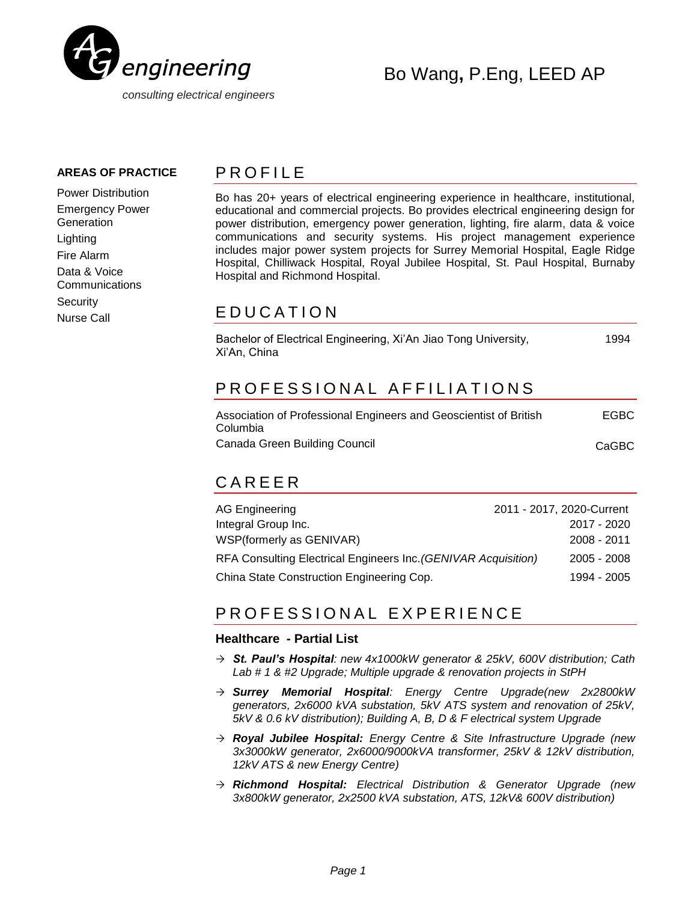

### **AREAS OF PRACTICE**

Power Distribution Emergency Power **Generation** Lighting Fire Alarm Data & Voice **Communications Security** Nurse Call

### **PROFILE**

Bo has 20+ years of electrical engineering experience in healthcare, institutional, educational and commercial projects. Bo provides electrical engineering design for power distribution, emergency power generation, lighting, fire alarm, data & voice communications and security systems. His project management experience includes major power system projects for Surrey Memorial Hospital, Eagle Ridge Hospital, Chilliwack Hospital, Royal Jubilee Hospital, St. Paul Hospital, Burnaby Hospital and Richmond Hospital.

## E DUCATION

| Bachelor of Electrical Engineering, Xi'An Jiao Tong University,<br>Xi'An, China | 1994 |
|---------------------------------------------------------------------------------|------|
| PROFESSIONAL AFFILIATIONS                                                       |      |

| Association of Professional Engineers and Geoscientist of British | <b>EGBC</b> |
|-------------------------------------------------------------------|-------------|
| Columbia                                                          |             |
| Canada Green Building Council                                     | CaGBC       |

# C A R E E R

| AG Engineering                                                 | 2011 - 2017, 2020-Current |
|----------------------------------------------------------------|---------------------------|
| Integral Group Inc.                                            | 2017 - 2020               |
| WSP(formerly as GENIVAR)                                       | 2008 - 2011               |
| RFA Consulting Electrical Engineers Inc. (GENIVAR Acquisition) | $2005 - 2008$             |
| China State Construction Engineering Cop.                      | 1994 - 2005               |

# PROFESSIONAL EXPERIENCE

### **Healthcare - Partial List**

- *St. Paul's Hospital: new 4x1000kW generator & 25kV, 600V distribution; Cath Lab # 1 & #2 Upgrade; Multiple upgrade & renovation projects in StPH*
- *Surrey Memorial Hospital: Energy Centre Upgrade(new 2x2800kW generators, 2x6000 kVA substation, 5kV ATS system and renovation of 25kV, 5kV & 0.6 kV distribution); Building A, B, D & F electrical system Upgrade*
- *Royal Jubilee Hospital: Energy Centre & Site Infrastructure Upgrade (new 3x3000kW generator, 2x6000/9000kVA transformer, 25kV & 12kV distribution, 12kV ATS & new Energy Centre)*
- *Richmond Hospital: Electrical Distribution & Generator Upgrade (new 3x800kW generator, 2x2500 kVA substation, ATS, 12kV& 600V distribution)*